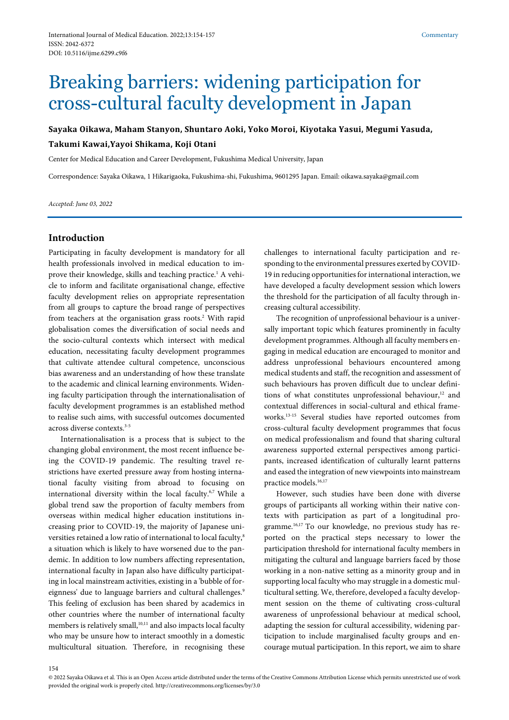# Breaking barriers: widening participation for cross-cultural faculty development in Japan

**Sayaka Oikawa, Maham Stanyon, Shuntaro Aoki, Yoko Moroi, Kiyotaka Yasui, Megumi Yasuda, Takumi Kawai,Yayoi Shikama, Koji Otani**

Center for Medical Education and Career Development, Fukushima Medical University, Japan

Correspondence: Sayaka Oikawa, 1 Hikarigaoka, Fukushima-shi, Fukushima, 9601295 Japan. Email: oikawa.sayaka@gmail.com

*Accepted: June 03, 2022*

## **Introduction**

Participating in faculty development is mandatory for all health professionals involved in medical education to improve their knowledge, skills and teaching practice.<sup>1</sup> A vehicle to inform and facilitate organisational change, effective faculty development relies on appropriate representation from all groups to capture the broad range of perspectives from teachers at the organisation grass roots.<sup>2</sup> With rapid globalisation comes the diversification of social needs and the socio-cultural contexts which intersect with medical education, necessitating faculty development programmes that cultivate attendee cultural competence, unconscious bias awareness and an understanding of how these translate to the academic and clinical learning environments. Widening faculty participation through the internationalisation of faculty development programmes is an established method to realise such aims, with successful outcomes documented across diverse contexts.<sup>3-5</sup>

Internationalisation is a process that is subject to the changing global environment, the most recent influence being the COVID-19 pandemic. The resulting travel restrictions have exerted pressure away from hosting international faculty visiting from abroad to focusing on international diversity within the local faculty.<sup>6,7</sup> While a global trend saw the proportion of faculty members from overseas within medical higher education institutions increasing prior to COVID-19, the majority of Japanese universities retained a low ratio of international to local faculty,<sup>8</sup> a situation which is likely to have worsened due to the pandemic. In addition to low numbers affecting representation, international faculty in Japan also have difficulty participating in local mainstream activities, existing in a 'bubble of foreignness' due to language barriers and cultural challenges.<sup>9</sup> This feeling of exclusion has been shared by academics in other countries where the number of international faculty members is relatively small,<sup>10,11</sup> and also impacts local faculty who may be unsure how to interact smoothly in a domestic multicultural situation. Therefore, in recognising these

challenges to international faculty participation and responding to the environmental pressures exerted by COVID-19 in reducing opportunities for international interaction, we have developed a faculty development session which lowers the threshold for the participation of all faculty through increasing cultural accessibility.

The recognition of unprofessional behaviour is a universally important topic which features prominently in faculty development programmes. Although all faculty members engaging in medical education are encouraged to monitor and address unprofessional behaviours encountered among medical students and staff, the recognition and assessment of such behaviours has proven difficult due to unclear definitions of what constitutes unprofessional behaviour, <sup>12</sup> and contextual differences in social-cultural and ethical frameworks.13-15 Several studies have reported outcomes from cross-cultural faculty development programmes that focus on medical professionalism and found that sharing cultural awareness supported external perspectives among participants, increased identification of culturally learnt patterns and eased the integration of new viewpoints into mainstream practice models.<sup>16,17</sup>

However, such studies have been done with diverse groups of participants all working within their native contexts with participation as part of a longitudinal programme.16,17 To our knowledge, no previous study has reported on the practical steps necessary to lower the participation threshold for international faculty members in mitigating the cultural and language barriers faced by those working in a non-native setting as a minority group and in supporting local faculty who may struggle in a domestic multicultural setting. We, therefore, developed a faculty development session on the theme of cultivating cross-cultural awareness of unprofessional behaviour at medical school, adapting the session for cultural accessibility, widening participation to include marginalised faculty groups and encourage mutual participation. In this report, we aim to share

<sup>© 2022</sup> Sayaka Oikawa et al*.* This is an Open Access article distributed under the terms of the Creative Commons Attribution License which permits unrestricted use of work provided the original work is properly cited. http://creativecommons.org/licenses/by/3.0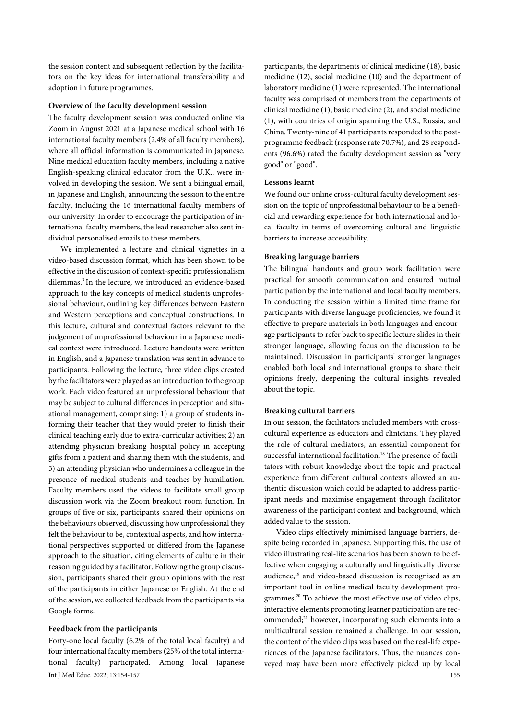the session content and subsequent reflection by the facilitators on the key ideas for international transferability and adoption in future programmes.

#### **Overview of the faculty development session**

The faculty development session was conducted online via Zoom in August 2021 at a Japanese medical school with 16 international faculty members (2.4% of all faculty members), where all official information is communicated in Japanese. Nine medical education faculty members, including a native English-speaking clinical educator from the U.K., were involved in developing the session. We sent a bilingual email, in Japanese and English, announcing the session to the entire faculty, including the 16 international faculty members of our university. In order to encourage the participation of international faculty members, the lead researcher also sent individual personalised emails to these members.

We implemented a lecture and clinical vignettes in a video-based discussion format, which has been shown to be effective in the discussion of context-specific professionalism dilemmas.3 In the lecture, we introduced an evidence-based approach to the key concepts of medical students unprofessional behaviour, outlining key differences between Eastern and Western perceptions and conceptual constructions. In this lecture, cultural and contextual factors relevant to the judgement of unprofessional behaviour in a Japanese medical context were introduced. Lecture handouts were written in English, and a Japanese translation was sent in advance to participants. Following the lecture, three video clips created by the facilitators were played as an introduction to the group work. Each video featured an unprofessional behaviour that may be subject to cultural differences in perception and situational management, comprising: 1) a group of students informing their teacher that they would prefer to finish their clinical teaching early due to extra-curricular activities; 2) an attending physician breaking hospital policy in accepting gifts from a patient and sharing them with the students, and 3) an attending physician who undermines a colleague in the presence of medical students and teaches by humiliation. Faculty members used the videos to facilitate small group discussion work via the Zoom breakout room function. In groups of five or six, participants shared their opinions on the behaviours observed, discussing how unprofessional they felt the behaviour to be, contextual aspects, and how international perspectives supported or differed from the Japanese approach to the situation, citing elements of culture in their reasoning guided by a facilitator. Following the group discussion, participants shared their group opinions with the rest of the participants in either Japanese or English. At the end of the session, we collected feedback from the participants via Google forms.

#### **Feedback from the participants**

Int J Med Educ. 2022; 13:154-157 155 Forty-one local faculty (6.2% of the total local faculty) and four international faculty members (25% of the total international faculty) participated. Among local Japanese

participants, the departments of clinical medicine (18), basic medicine (12), social medicine (10) and the department of laboratory medicine (1) were represented. The international faculty was comprised of members from the departments of clinical medicine (1), basic medicine (2), and social medicine (1), with countries of origin spanning the U.S., Russia, and China. Twenty-nine of 41 participants responded to the postprogramme feedback (response rate 70.7%), and 28 respondents (96.6%) rated the faculty development session as "very good" or "good".

### **Lessons learnt**

We found our online cross-cultural faculty development session on the topic of unprofessional behaviour to be a beneficial and rewarding experience for both international and local faculty in terms of overcoming cultural and linguistic barriers to increase accessibility.

#### **Breaking language barriers**

The bilingual handouts and group work facilitation were practical for smooth communication and ensured mutual participation by the international and local faculty members. In conducting the session within a limited time frame for participants with diverse language proficiencies, we found it effective to prepare materials in both languages and encourage participants to refer back to specific lecture slides in their stronger language, allowing focus on the discussion to be maintained. Discussion in participants' stronger languages enabled both local and international groups to share their opinions freely, deepening the cultural insights revealed about the topic.

#### **Breaking cultural barriers**

In our session, the facilitators included members with crosscultural experience as educators and clinicians. They played the role of cultural mediators, an essential component for successful international facilitation.<sup>18</sup> The presence of facilitators with robust knowledge about the topic and practical experience from different cultural contexts allowed an authentic discussion which could be adapted to address participant needs and maximise engagement through facilitator awareness of the participant context and background, which added value to the session.

Video clips effectively minimised language barriers, despite being recorded in Japanese. Supporting this, the use of video illustrating real-life scenarios has been shown to be effective when engaging a culturally and linguistically diverse audience,<sup>19</sup> and video-based discussion is recognised as an important tool in online medical faculty development programmes.20 To achieve the most effective use of video clips, interactive elements promoting learner participation are recommended;<sup>21</sup> however, incorporating such elements into a multicultural session remained a challenge. In our session, the content of the video clips was based on the real-life experiences of the Japanese facilitators. Thus, the nuances conveyed may have been more effectively picked up by local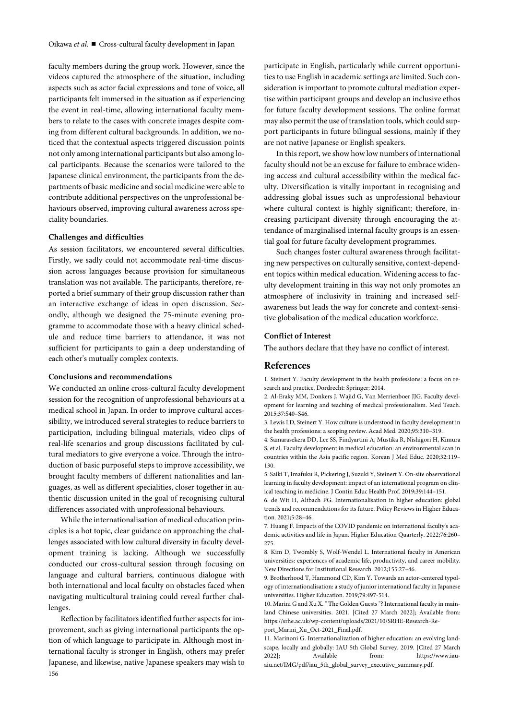faculty members during the group work. However, since the videos captured the atmosphere of the situation, including aspects such as actor facial expressions and tone of voice, all participants felt immersed in the situation as if experiencing the event in real-time, allowing international faculty members to relate to the cases with concrete images despite coming from different cultural backgrounds. In addition, we noticed that the contextual aspects triggered discussion points not only among international participants but also among local participants. Because the scenarios were tailored to the Japanese clinical environment, the participants from the departments of basic medicine and social medicine were able to contribute additional perspectives on the unprofessional behaviours observed, improving cultural awareness across speciality boundaries.

#### **Challenges and difficulties**

As session facilitators, we encountered several difficulties. Firstly, we sadly could not accommodate real-time discussion across languages because provision for simultaneous translation was not available. The participants, therefore, reported a brief summary of their group discussion rather than an interactive exchange of ideas in open discussion. Secondly, although we designed the 75-minute evening programme to accommodate those with a heavy clinical schedule and reduce time barriers to attendance, it was not sufficient for participants to gain a deep understanding of each other's mutually complex contexts.

#### **Conclusions and recommendations**

We conducted an online cross-cultural faculty development session for the recognition of unprofessional behaviours at a medical school in Japan. In order to improve cultural accessibility, we introduced several strategies to reduce barriers to participation, including bilingual materials, video clips of real-life scenarios and group discussions facilitated by cultural mediators to give everyone a voice. Through the introduction of basic purposeful steps to improve accessibility, we brought faculty members of different nationalities and languages, as well as different specialities, closer together in authentic discussion united in the goal of recognising cultural differences associated with unprofessional behaviours.

While the internationalisation of medical education principles is a hot topic, clear guidance on approaching the challenges associated with low cultural diversity in faculty development training is lacking. Although we successfully conducted our cross-cultural session through focusing on language and cultural barriers, continuous dialogue with both international and local faculty on obstacles faced when navigating multicultural training could reveal further challenges.

156 Reflection by facilitators identified further aspects for improvement, such as giving international participants the option of which language to participate in. Although most international faculty is stronger in English, others may prefer Japanese, and likewise, native Japanese speakers may wish to participate in English, particularly while current opportunities to use English in academic settings are limited. Such consideration is important to promote cultural mediation expertise within participant groups and develop an inclusive ethos for future faculty development sessions. The online format may also permit the use of translation tools, which could support participants in future bilingual sessions, mainly if they are not native Japanese or English speakers.

In this report, we show how low numbers of international faculty should not be an excuse for failure to embrace widening access and cultural accessibility within the medical faculty. Diversification is vitally important in recognising and addressing global issues such as unprofessional behaviour where cultural context is highly significant; therefore, increasing participant diversity through encouraging the attendance of marginalised internal faculty groups is an essential goal for future faculty development programmes.

Such changes foster cultural awareness through facilitating new perspectives on culturally sensitive, context-dependent topics within medical education. Widening access to faculty development training in this way not only promotes an atmosphere of inclusivity in training and increased selfawareness but leads the way for concrete and context-sensitive globalisation of the medical education workforce.

#### **Conflict of Interest**

The authors declare that they have no conflict of interest.

#### **References**

1. Steinert Y. Faculty development in the health professions: a focus on research and practice. Dordrecht: Springer; 2014.

2. Al-Eraky MM, Donkers J, Wajid G, Van Merrienboer JJG. Faculty development for learning and teaching of medical professionalism. Med Teach. 2015;37:S40–S46.

3. Lewis LD, Steinert Y. How culture is understood in faculty development in the health professions: a scoping review. Acad Med. 2020;95:310–319.

4. Samarasekera DD, Lee SS, Findyartini A, Mustika R, Nishigori H, Kimura S, et al. Faculty development in medical education: an environmental scan in countries within the Asia pacific region. Korean J Med Educ. 2020;32:119– 130.

5. Saiki T, Imafuku R, Pickering J, Suzuki Y, Steinert Y. On-site observational learning in faculty development: impact of an international program on clinical teaching in medicine. J Contin Educ Health Prof. 2019;39:144–151.

6. de Wit H, Altbach PG. Internationalisation in higher education: global trends and recommendations for its future. Policy Reviews in Higher Education. 2021;5:28–46.

7. Huang F. Impacts of the COVID pandemic on international faculty's academic activities and life in Japan. Higher Education Quarterly. 2022;76:260– 275.

8. Kim D, Twombly S, Wolf-Wendel L. International faculty in American universities: experiences of academic life, productivity, and career mobility. New Directions for Institutional Research. 2012;155:27–46.

9. Brotherhood T, Hammond CD, Kim Y. Towards an actor-centered typology of internationalisation: a study of junior international faculty in Japanese universities. Higher Education. 2019;79:497-514.

10. Marini G and Xu X. " The Golden Guests "? International faculty in mainland Chinese universities. 2021. [Cited 27 March 2022]; Available from: https://srhe.ac.uk/wp-content/uploads/2021/10/SRHE-Research-Report\_Marini\_Xu\_Oct-2021\_Final.pdf.

11. Marinoni G. Internationalization of higher education: an evolving landscape, locally and globally: IAU 5th Global Survey. 2019. [Cited 27 March 2022]; Available from: https://www.iauaiu.net/IMG/pdf/iau\_5th\_global\_survey\_executive\_summary.pdf.